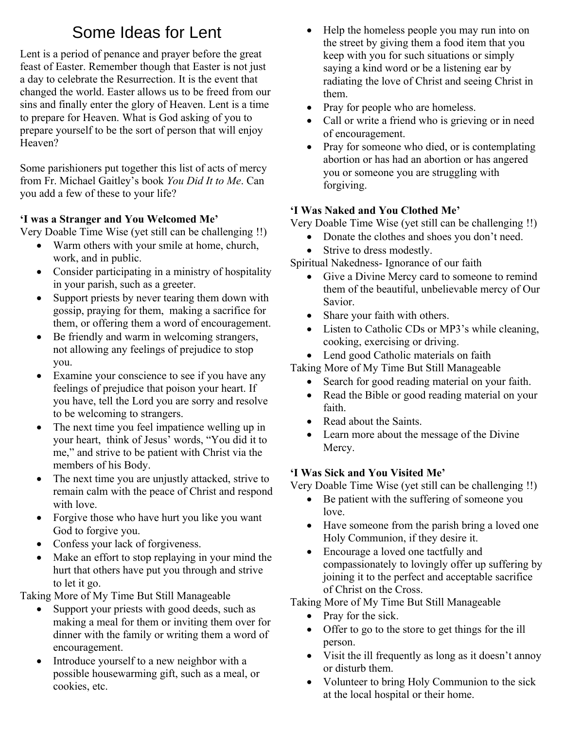# Some Ideas for Lent

Lent is a period of penance and prayer before the great feast of Easter. Remember though that Easter is not just a day to celebrate the Resurrection. It is the event that changed the world. Easter allows us to be freed from our sins and finally enter the glory of Heaven. Lent is a time to prepare for Heaven. What is God asking of you to prepare yourself to be the sort of person that will enjoy Heaven?

Some parishioners put together this list of acts of mercy from Fr. Michael Gaitley's book *You Did It to Me*. Can you add a few of these to your life?

## **'I was a Stranger and You Welcomed Me'**

Very Doable Time Wise (yet still can be challenging !!)

- Warm others with your smile at home, church, work, and in public.
- Consider participating in a ministry of hospitality in your parish, such as a greeter.
- Support priests by never tearing them down with gossip, praying for them, making a sacrifice for them, or offering them a word of encouragement.
- Be friendly and warm in welcoming strangers, not allowing any feelings of prejudice to stop you.
- Examine your conscience to see if you have any feelings of prejudice that poison your heart. If you have, tell the Lord you are sorry and resolve to be welcoming to strangers.
- The next time you feel impatience welling up in your heart, think of Jesus' words, "You did it to me," and strive to be patient with Christ via the members of his Body.
- The next time you are unjustly attacked, strive to remain calm with the peace of Christ and respond with love.
- Forgive those who have hurt you like you want God to forgive you.
- Confess your lack of forgiveness.
- Make an effort to stop replaying in your mind the hurt that others have put you through and strive to let it go.

Taking More of My Time But Still Manageable

- Support your priests with good deeds, such as making a meal for them or inviting them over for dinner with the family or writing them a word of encouragement.
- Introduce yourself to a new neighbor with a possible housewarming gift, such as a meal, or cookies, etc.
- Help the homeless people you may run into on the street by giving them a food item that you keep with you for such situations or simply saying a kind word or be a listening ear by radiating the love of Christ and seeing Christ in them.
- Pray for people who are homeless.
- Call or write a friend who is grieving or in need of encouragement.
- Pray for someone who died, or is contemplating abortion or has had an abortion or has angered you or someone you are struggling with forgiving.

## **'I Was Naked and You Clothed Me'**

Very Doable Time Wise (yet still can be challenging !!)

- Donate the clothes and shoes you don't need.
- Strive to dress modestly.

Spiritual Nakedness- Ignorance of our faith

- Give a Divine Mercy card to someone to remind them of the beautiful, unbelievable mercy of Our Savior.
- Share your faith with others.
- Listen to Catholic CDs or MP3's while cleaning, cooking, exercising or driving.
- Lend good Catholic materials on faith

Taking More of My Time But Still Manageable

- Search for good reading material on your faith.
- Read the Bible or good reading material on your faith.
- Read about the Saints.
- Learn more about the message of the Divine Mercy.

## **'I Was Sick and You Visited Me'**

Very Doable Time Wise (yet still can be challenging !!)

- Be patient with the suffering of someone you love.
- Have someone from the parish bring a loved one Holy Communion, if they desire it.
- Encourage a loved one tactfully and compassionately to lovingly offer up suffering by joining it to the perfect and acceptable sacrifice of Christ on the Cross.

Taking More of My Time But Still Manageable

- Pray for the sick.
- Offer to go to the store to get things for the ill person.
- Visit the ill frequently as long as it doesn't annoy or disturb them.
- Volunteer to bring Holy Communion to the sick at the local hospital or their home.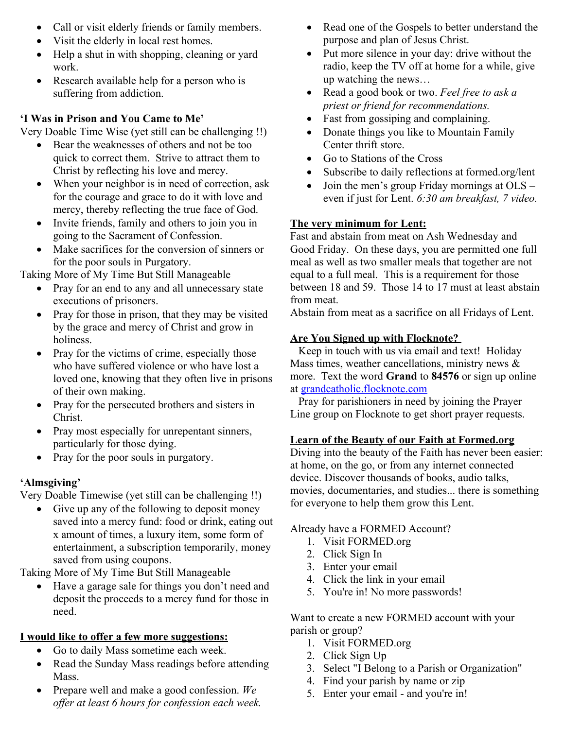- Call or visit elderly friends or family members.
- Visit the elderly in local rest homes.
- Help a shut in with shopping, cleaning or yard work.
- Research available help for a person who is suffering from addiction.

## **'I Was in Prison and You Came to Me'**

Very Doable Time Wise (yet still can be challenging !!)

- Bear the weaknesses of others and not be too quick to correct them. Strive to attract them to Christ by reflecting his love and mercy.
- When your neighbor is in need of correction, ask for the courage and grace to do it with love and mercy, thereby reflecting the true face of God.
- Invite friends, family and others to join you in going to the Sacrament of Confession.
- Make sacrifices for the conversion of sinners or for the poor souls in Purgatory.

Taking More of My Time But Still Manageable

- Pray for an end to any and all unnecessary state executions of prisoners.
- Pray for those in prison, that they may be visited by the grace and mercy of Christ and grow in holiness.
- Pray for the victims of crime, especially those who have suffered violence or who have lost a loved one, knowing that they often live in prisons of their own making.
- Pray for the persecuted brothers and sisters in Christ.
- Pray most especially for unrepentant sinners, particularly for those dying.
- Pray for the poor souls in purgatory.

## **'Almsgiving'**

Very Doable Timewise (yet still can be challenging !!)

• Give up any of the following to deposit money saved into a mercy fund: food or drink, eating out x amount of times, a luxury item, some form of entertainment, a subscription temporarily, money saved from using coupons.

Taking More of My Time But Still Manageable

 Have a garage sale for things you don't need and deposit the proceeds to a mercy fund for those in need.

### **I would like to offer a few more suggestions:**

- Go to daily Mass sometime each week.
- Read the Sunday Mass readings before attending Mass.
- Prepare well and make a good confession. *We offer at least 6 hours for confession each week.*
- Read one of the Gospels to better understand the purpose and plan of Jesus Christ.
- Put more silence in your day: drive without the radio, keep the TV off at home for a while, give up watching the news…
- Read a good book or two. *Feel free to ask a priest or friend for recommendations.*
- Fast from gossiping and complaining.
- Donate things you like to Mountain Family Center thrift store.
- Go to Stations of the Cross
- Subscribe to daily reflections at formed.org/lent
- Join the men's group Friday mornings at OLS even if just for Lent. *6:30 am breakfast, 7 video.*

## **The very minimum for Lent:**

Fast and abstain from meat on Ash Wednesday and Good Friday. On these days, you are permitted one full meal as well as two smaller meals that together are not equal to a full meal. This is a requirement for those between 18 and 59. Those 14 to 17 must at least abstain from meat.

Abstain from meat as a sacrifice on all Fridays of Lent.

## **Are You Signed up with Flocknote?**

 Keep in touch with us via email and text! Holiday Mass times, weather cancellations, ministry news & more. Text the word **Grand** to **84576** or sign up online at [grandcatholic.flocknote.com](http://grandcatholic.flocknote.com/)

 Pray for parishioners in need by joining the Prayer Line group on Flocknote to get short prayer requests.

### **Learn of the Beauty of our Faith at Formed.org**

Diving into the beauty of the Faith has never been easier: at home, on the go, or from any internet connected device. Discover thousands of books, audio talks, movies, documentaries, and studies... there is something for everyone to help them grow this Lent.

### Already have a FORMED Account?

- 1. Visit FORMED.org
- 2. Click Sign In
- 3. Enter your email
- 4. Click the link in your email
- 5. You're in! No more passwords!

Want to create a new FORMED account with your parish or group?

- 1. Visit FORMED.org
- 2. Click Sign Up
- 3. Select "I Belong to a Parish or Organization"
- 4. Find your parish by name or zip
- 5. Enter your email and you're in!